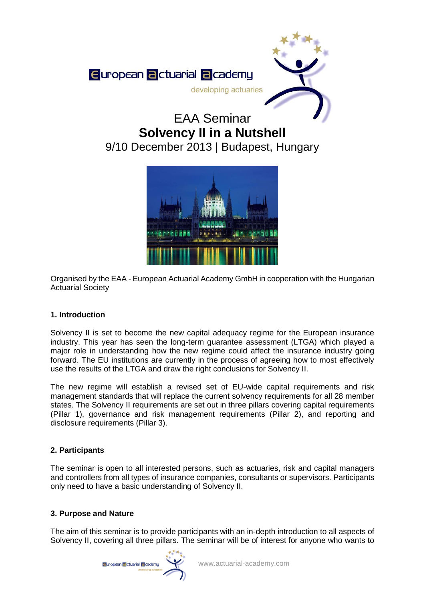

# EAA Seminar **Solvency II in a Nutshell** 9/10 December 2013 | Budapest, Hungary



Organised by the EAA - European Actuarial Academy GmbH in cooperation with the Hungarian Actuarial Society

# **1. Introduction**

Solvency II is set to become the new capital adequacy regime for the European insurance industry. This year has seen the long-term guarantee assessment (LTGA) which played a major role in understanding how the new regime could affect the insurance industry going forward. The EU institutions are currently in the process of agreeing how to most effectively use the results of the LTGA and draw the right conclusions for Solvency II.

The new regime will establish a revised set of EU-wide capital requirements and risk management standards that will replace the current solvency requirements for all 28 member states. The Solvency II requirements are set out in three pillars covering capital requirements (Pillar 1), governance and risk management requirements (Pillar 2), and reporting and disclosure requirements (Pillar 3).

# **2. Participants**

The seminar is open to all interested persons, such as actuaries, risk and capital managers and controllers from all types of insurance companies, consultants or supervisors. Participants only need to have a basic understanding of Solvency II.

# **3. Purpose and Nature**

The aim of this seminar is to provide participants with an in-depth introduction to all aspects of Solvency II, covering all three pillars. The seminar will be of interest for anyone who wants to

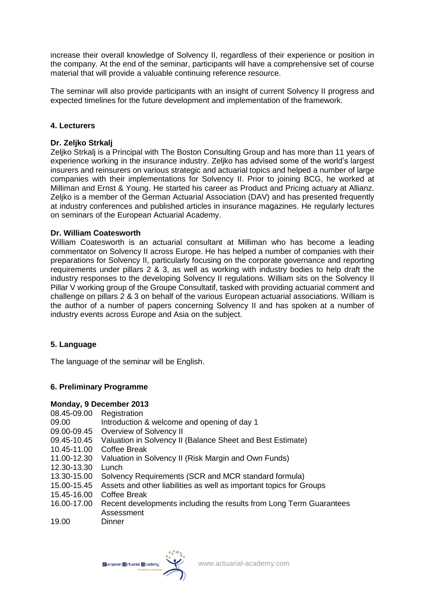increase their overall knowledge of Solvency II, regardless of their experience or position in the company. At the end of the seminar, participants will have a comprehensive set of course material that will provide a valuable continuing reference resource.

The seminar will also provide participants with an insight of current Solvency II progress and expected timelines for the future development and implementation of the framework.

## **4. Lecturers**

## **Dr. Zeljko Strkalj**

Zeljko Strkalj is a Principal with The Boston Consulting Group and has more than 11 years of experience working in the insurance industry. Zeljko has advised some of the world's largest insurers and reinsurers on various strategic and actuarial topics and helped a number of large companies with their implementations for Solvency II. Prior to joining BCG, he worked at Milliman and Ernst & Young. He started his career as Product and Pricing actuary at Allianz. Zeljko is a member of the German Actuarial Association (DAV) and has presented frequently at industry conferences and published articles in insurance magazines. He regularly lectures on seminars of the European Actuarial Academy.

## **Dr. William Coatesworth**

William Coatesworth is an actuarial consultant at Milliman who has become a leading commentator on Solvency II across Europe. He has helped a number of companies with their preparations for Solvency II, particularly focusing on the corporate governance and reporting requirements under pillars 2 & 3, as well as working with industry bodies to help draft the industry responses to the developing Solvency II regulations. William sits on the Solvency II Pillar V working group of the Groupe Consultatif, tasked with providing actuarial comment and challenge on pillars 2 & 3 on behalf of the various European actuarial associations. William is the author of a number of papers concerning Solvency II and has spoken at a number of industry events across Europe and Asia on the subject.

## **5. Language**

The language of the seminar will be English.

# **6. Preliminary Programme**

## **Monday, 9 December 2013**

- 08.45-09.00 Registration
- 09.00 Introduction & welcome and opening of day 1
- 09.00-09.45 Overview of Solvency II
- 09.45-10.45 Valuation in Solvency II (Balance Sheet and Best Estimate)
- 10.45-11.00 Coffee Break
- 11.00-12.30 Valuation in Solvency II (Risk Margin and Own Funds)
- 12.30-13.30 Lunch
- 13.30-15.00 Solvency Requirements (SCR and MCR standard formula)
- 15.00-15.45 Assets and other liabilities as well as important topics for Groups
- 15.45-16.00 Coffee Break
- 16.00-17.00 Recent developments including the results from Long Term Guarantees Assessment
- 19.00 Dinner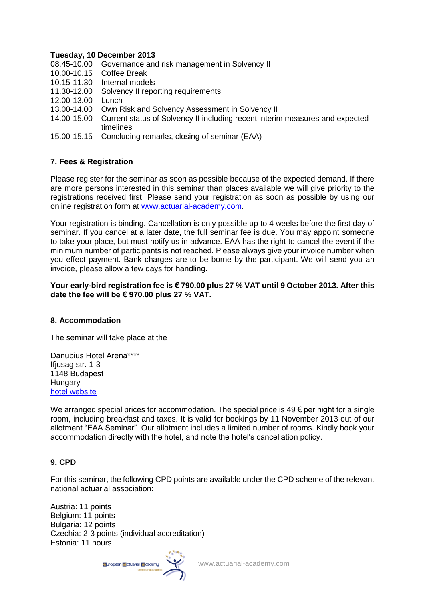## **Tuesday, 10 December 2013**

- 08.45-10.00 Governance and risk management in Solvency II
- 10.00-10.15 Coffee Break
- 10.15-11.30 Internal models
- 11.30-12.00 Solvency II reporting requirements
- 12.00-13.00 Lunch
- 13.00-14.00 Own Risk and Solvency Assessment in Solvency II
- 14.00-15.00 Current status of Solvency II including recent interim measures and expected timelines
- 15.00-15.15 Concluding remarks, closing of seminar (EAA)

## **7. Fees & Registration**

Please register for the seminar as soon as possible because of the expected demand. If there are more persons interested in this seminar than places available we will give priority to the registrations received first. Please send your registration as soon as possible by using our online registration form at [www.actuarial-academy.com.](http://www.actuarial-academy.com/)

Your registration is binding. Cancellation is only possible up to 4 weeks before the first day of seminar. If you cancel at a later date, the full seminar fee is due. You may appoint someone to take your place, but must notify us in advance. EAA has the right to cancel the event if the minimum number of participants is not reached. Please always give your invoice number when you effect payment. Bank charges are to be borne by the participant. We will send you an invoice, please allow a few days for handling.

## **Your early-bird registration fee is € 790.00 plus 27 % VAT until 9 October 2013. After this date the fee will be € 970.00 plus 27 % VAT.**

## **8. Accommodation**

The seminar will take place at the

Danubius Hotel Arena\*\*\*\* Ifiusag str. 1-3 1148 Budapest **Hungary** [hotel website](http://www.danubiushotels.com/our-hotels-budapest/danubius-hotel-arena?sid=8hb2u8viu436q8f66o6hbla632&__utma=1.1792099799.1380112078.1380112078.1380112078.1&__utmb=1.1.10.1380112078&__utmc=1&__utmx=-&__utmz=1.1380112078.1.1.utmgclid=CK7Zq4_G5rkCFU3LtAod8ysA6w|utmccn=%28not%20set%29|utmcmd=%28not%20set%29&__utmv=-&__utmk=73620498)

We arranged special prices for accommodation. The special price is  $49 \epsilon$  per night for a single room, including breakfast and taxes. It is valid for bookings by 11 November 2013 out of our allotment "EAA Seminar". Our allotment includes a limited number of rooms. Kindly book your accommodation directly with the hotel, and note the hotel's cancellation policy.

## **9. CPD**

For this seminar, the following CPD points are available under the CPD scheme of the relevant national actuarial association:

Austria: 11 points Belgium: 11 points Bulgaria: 12 points Czechia: 2-3 points (individual accreditation) Estonia: 11 hours



www.actuarial-academy.com